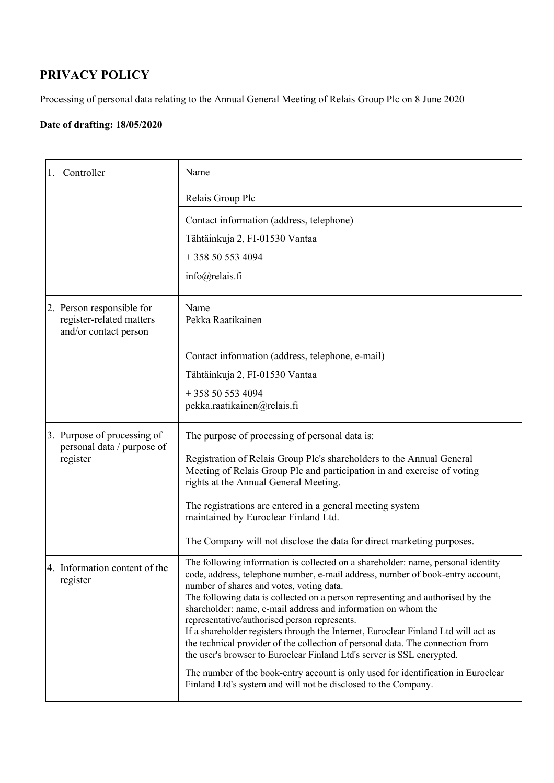## **PRIVACY POLICY**

Processing of personal data relating to the Annual General Meeting of Relais Group Plc on 8 June 2020

## **Date of drafting: 18/05/2020**

| Controller                                                                     | Name                                                                                                                                                                                                                                           |
|--------------------------------------------------------------------------------|------------------------------------------------------------------------------------------------------------------------------------------------------------------------------------------------------------------------------------------------|
|                                                                                | Relais Group Plc                                                                                                                                                                                                                               |
|                                                                                | Contact information (address, telephone)                                                                                                                                                                                                       |
|                                                                                | Tähtäinkuja 2, FI-01530 Vantaa                                                                                                                                                                                                                 |
|                                                                                | $+358505534094$                                                                                                                                                                                                                                |
|                                                                                | info@relais.fi                                                                                                                                                                                                                                 |
| 2. Person responsible for<br>register-related matters<br>and/or contact person | Name<br>Pekka Raatikainen                                                                                                                                                                                                                      |
|                                                                                | Contact information (address, telephone, e-mail)                                                                                                                                                                                               |
|                                                                                | Tähtäinkuja 2, FI-01530 Vantaa                                                                                                                                                                                                                 |
|                                                                                | $+358505534094$                                                                                                                                                                                                                                |
|                                                                                | pekka.raatikainen@relais.fi                                                                                                                                                                                                                    |
| 3. Purpose of processing of                                                    | The purpose of processing of personal data is:                                                                                                                                                                                                 |
| personal data / purpose of<br>register                                         | Registration of Relais Group Plc's shareholders to the Annual General<br>Meeting of Relais Group Plc and participation in and exercise of voting<br>rights at the Annual General Meeting.                                                      |
|                                                                                | The registrations are entered in a general meeting system<br>maintained by Euroclear Finland Ltd.                                                                                                                                              |
|                                                                                | The Company will not disclose the data for direct marketing purposes.                                                                                                                                                                          |
| 4. Information content of the<br>register                                      | The following information is collected on a shareholder: name, personal identity<br>code, address, telephone number, e-mail address, number of book-entry account,<br>number of shares and votes, voting data.                                 |
|                                                                                | The following data is collected on a person representing and authorised by the<br>shareholder: name, e-mail address and information on whom the<br>representative/authorised person represents.                                                |
|                                                                                | If a shareholder registers through the Internet, Euroclear Finland Ltd will act as<br>the technical provider of the collection of personal data. The connection from<br>the user's browser to Euroclear Finland Ltd's server is SSL encrypted. |
|                                                                                | The number of the book-entry account is only used for identification in Euroclear<br>Finland Ltd's system and will not be disclosed to the Company.                                                                                            |